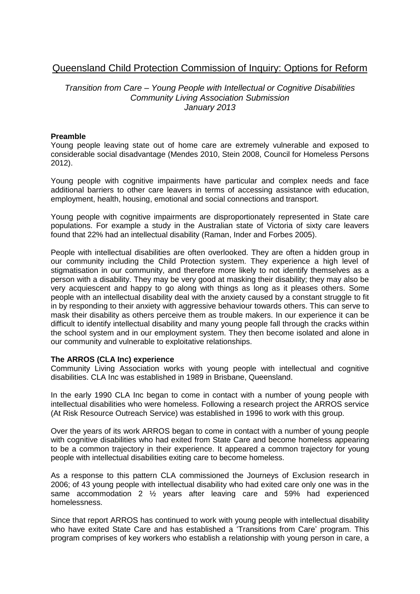# Queensland Child Protection Commission of Inquiry: Options for Reform

# *Transition from Care – Young People with Intellectual or Cognitive Disabilities Community Living Association Submission January 2013*

### **Preamble**

Young people leaving state out of home care are extremely vulnerable and exposed to considerable social disadvantage (Mendes 2010, Stein 2008, Council for Homeless Persons 2012).

Young people with cognitive impairments have particular and complex needs and face additional barriers to other care leavers in terms of accessing assistance with education, employment, health, housing, emotional and social connections and transport.

Young people with cognitive impairments are disproportionately represented in State care populations. For example a study in the Australian state of Victoria of sixty care leavers found that 22% had an intellectual disability (Raman, Inder and Forbes 2005).

People with intellectual disabilities are often overlooked. They are often a hidden group in our community including the Child Protection system. They experience a high level of stigmatisation in our community, and therefore more likely to not identify themselves as a person with a disability. They may be very good at masking their disability; they may also be very acquiescent and happy to go along with things as long as it pleases others. Some people with an intellectual disability deal with the anxiety caused by a constant struggle to fit in by responding to their anxiety with aggressive behaviour towards others. This can serve to mask their disability as others perceive them as trouble makers. In our experience it can be difficult to identify intellectual disability and many young people fall through the cracks within the school system and in our employment system. They then become isolated and alone in our community and vulnerable to exploitative relationships.

#### **The ARROS (CLA Inc) experience**

Community Living Association works with young people with intellectual and cognitive disabilities. CLA Inc was established in 1989 in Brisbane, Queensland.

In the early 1990 CLA Inc began to come in contact with a number of young people with intellectual disabilities who were homeless. Following a research project the ARROS service (At Risk Resource Outreach Service) was established in 1996 to work with this group.

Over the years of its work ARROS began to come in contact with a number of young people with cognitive disabilities who had exited from State Care and become homeless appearing to be a common trajectory in their experience. It appeared a common trajectory for young people with intellectual disabilities exiting care to become homeless.

As a response to this pattern CLA commissioned the Journeys of Exclusion research in 2006; of 43 young people with intellectual disability who had exited care only one was in the same accommodation 2 ½ years after leaving care and 59% had experienced homelessness.

Since that report ARROS has continued to work with young people with intellectual disability who have exited State Care and has established a 'Transitions from Care' program. This program comprises of key workers who establish a relationship with young person in care, a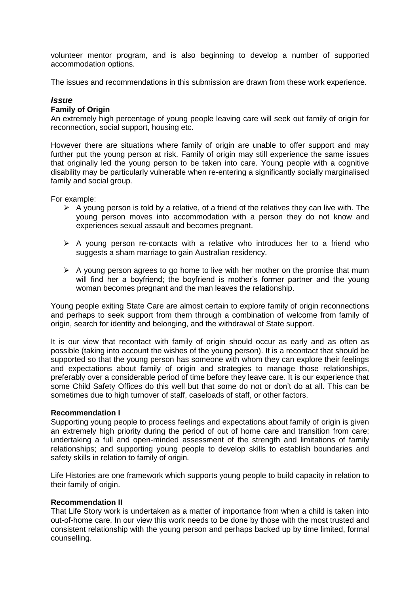volunteer mentor program, and is also beginning to develop a number of supported accommodation options.

The issues and recommendations in this submission are drawn from these work experience.

### *Issue*

#### **Family of Origin**

An extremely high percentage of young people leaving care will seek out family of origin for reconnection, social support, housing etc.

However there are situations where family of origin are unable to offer support and may further put the young person at risk. Family of origin may still experience the same issues that originally led the young person to be taken into care. Young people with a cognitive disability may be particularly vulnerable when re-entering a significantly socially marginalised family and social group.

For example:

- $\triangleright$  A young person is told by a relative, of a friend of the relatives they can live with. The young person moves into accommodation with a person they do not know and experiences sexual assault and becomes pregnant.
- $\triangleright$  A young person re-contacts with a relative who introduces her to a friend who suggests a sham marriage to gain Australian residency.
- $\triangleright$  A young person agrees to go home to live with her mother on the promise that mum will find her a boyfriend; the boyfriend is mother's former partner and the young woman becomes pregnant and the man leaves the relationship.

Young people exiting State Care are almost certain to explore family of origin reconnections and perhaps to seek support from them through a combination of welcome from family of origin, search for identity and belonging, and the withdrawal of State support.

It is our view that recontact with family of origin should occur as early and as often as possible (taking into account the wishes of the young person). It is a recontact that should be supported so that the young person has someone with whom they can explore their feelings and expectations about family of origin and strategies to manage those relationships, preferably over a considerable period of time before they leave care. It is our experience that some Child Safety Offices do this well but that some do not or don't do at all. This can be sometimes due to high turnover of staff, caseloads of staff, or other factors.

#### **Recommendation I**

Supporting young people to process feelings and expectations about family of origin is given an extremely high priority during the period of out of home care and transition from care; undertaking a full and open-minded assessment of the strength and limitations of family relationships; and supporting young people to develop skills to establish boundaries and safety skills in relation to family of origin.

Life Histories are one framework which supports young people to build capacity in relation to their family of origin.

#### **Recommendation II**

That Life Story work is undertaken as a matter of importance from when a child is taken into out-of-home care. In our view this work needs to be done by those with the most trusted and consistent relationship with the young person and perhaps backed up by time limited, formal counselling.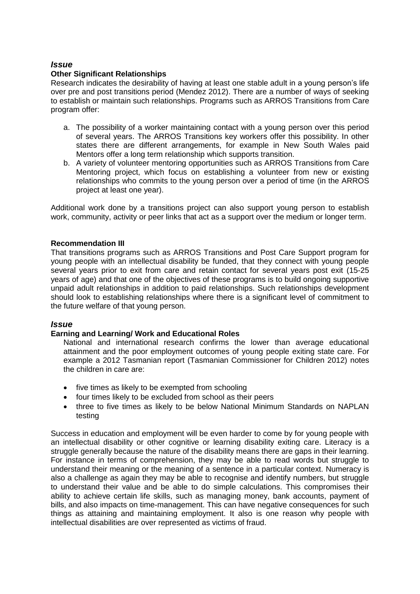# *Issue*

### **Other Significant Relationships**

Research indicates the desirability of having at least one stable adult in a young person's life over pre and post transitions period (Mendez 2012). There are a number of ways of seeking to establish or maintain such relationships. Programs such as ARROS Transitions from Care program offer:

- a. The possibility of a worker maintaining contact with a young person over this period of several years. The ARROS Transitions key workers offer this possibility. In other states there are different arrangements, for example in New South Wales paid Mentors offer a long term relationship which supports transition.
- b. A variety of volunteer mentoring opportunities such as ARROS Transitions from Care Mentoring project, which focus on establishing a volunteer from new or existing relationships who commits to the young person over a period of time (in the ARROS project at least one year).

Additional work done by a transitions project can also support young person to establish work, community, activity or peer links that act as a support over the medium or longer term.

### **Recommendation III**

That transitions programs such as ARROS Transitions and Post Care Support program for young people with an intellectual disability be funded, that they connect with young people several years prior to exit from care and retain contact for several years post exit (15-25 years of age) and that one of the objectives of these programs is to build ongoing supportive unpaid adult relationships in addition to paid relationships. Such relationships development should look to establishing relationships where there is a significant level of commitment to the future welfare of that young person.

# *Issue*

# **Earning and Learning/ Work and Educational Roles**

National and international research confirms the lower than average educational attainment and the poor employment outcomes of young people exiting state care. For example a 2012 Tasmanian report (Tasmanian Commissioner for Children 2012) notes the children in care are:

- five times as likely to be exempted from schooling
- four times likely to be excluded from school as their peers
- three to five times as likely to be below National Minimum Standards on NAPLAN testing

Success in education and employment will be even harder to come by for young people with an intellectual disability or other cognitive or learning disability exiting care. Literacy is a struggle generally because the nature of the disability means there are gaps in their learning. For instance in terms of comprehension, they may be able to read words but struggle to understand their meaning or the meaning of a sentence in a particular context. Numeracy is also a challenge as again they may be able to recognise and identify numbers, but struggle to understand their value and be able to do simple calculations. This compromises their ability to achieve certain life skills, such as managing money, bank accounts, payment of bills, and also impacts on time-management. This can have negative consequences for such things as attaining and maintaining employment. It also is one reason why people with intellectual disabilities are over represented as victims of fraud.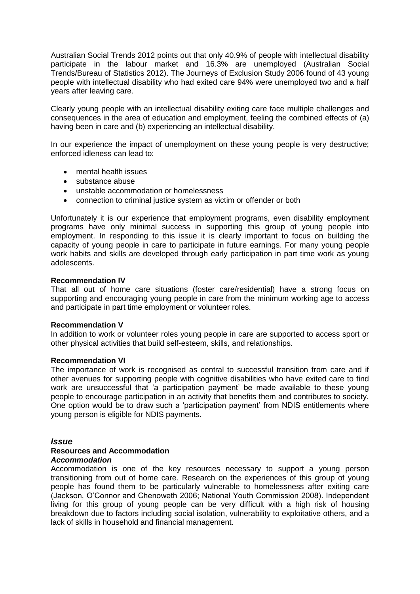Australian Social Trends 2012 points out that only 40.9% of people with intellectual disability participate in the labour market and 16.3% are unemployed (Australian Social Trends/Bureau of Statistics 2012). The Journeys of Exclusion Study 2006 found of 43 young people with intellectual disability who had exited care 94% were unemployed two and a half years after leaving care.

Clearly young people with an intellectual disability exiting care face multiple challenges and consequences in the area of education and employment, feeling the combined effects of (a) having been in care and (b) experiencing an intellectual disability.

In our experience the impact of unemployment on these young people is very destructive; enforced idleness can lead to:

- mental health issues
- substance abuse
- unstable accommodation or homelessness
- connection to criminal justice system as victim or offender or both

Unfortunately it is our experience that employment programs, even disability employment programs have only minimal success in supporting this group of young people into employment. In responding to this issue it is clearly important to focus on building the capacity of young people in care to participate in future earnings. For many young people work habits and skills are developed through early participation in part time work as young adolescents.

#### **Recommendation IV**

That all out of home care situations (foster care/residential) have a strong focus on supporting and encouraging young people in care from the minimum working age to access and participate in part time employment or volunteer roles.

#### **Recommendation V**

In addition to work or volunteer roles young people in care are supported to access sport or other physical activities that build self-esteem, skills, and relationships.

#### **Recommendation VI**

The importance of work is recognised as central to successful transition from care and if other avenues for supporting people with cognitive disabilities who have exited care to find work are unsuccessful that 'a participation payment' be made available to these young people to encourage participation in an activity that benefits them and contributes to society. One option would be to draw such a 'participation payment' from NDIS entitlements where young person is eligible for NDIS payments.

#### *Issue*

#### **Resources and Accommodation** *Accommodation*

Accommodation is one of the key resources necessary to support a young person transitioning from out of home care. Research on the experiences of this group of young people has found them to be particularly vulnerable to homelessness after exiting care (Jackson, O'Connor and Chenoweth 2006; National Youth Commission 2008). Independent living for this group of young people can be very difficult with a high risk of housing breakdown due to factors including social isolation, vulnerability to exploitative others, and a lack of skills in household and financial management.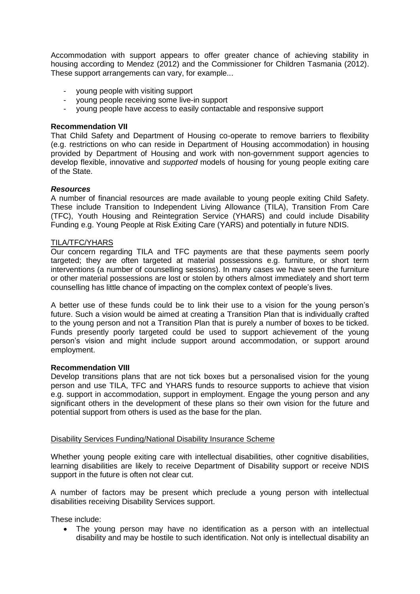Accommodation with support appears to offer greater chance of achieving stability in housing according to Mendez (2012) and the Commissioner for Children Tasmania (2012). These support arrangements can vary, for example...

- young people with visiting support
- young people receiving some live-in support
- young people have access to easily contactable and responsive support

#### **Recommendation VII**

That Child Safety and Department of Housing co-operate to remove barriers to flexibility (e.g. restrictions on who can reside in Department of Housing accommodation) in housing provided by Department of Housing and work with non-government support agencies to develop flexible, innovative and *supported* models of housing for young people exiting care of the State.

#### *Resources*

A number of financial resources are made available to young people exiting Child Safety. These include Transition to Independent Living Allowance (TILA), Transition From Care (TFC), Youth Housing and Reintegration Service (YHARS) and could include Disability Funding e.g. Young People at Risk Exiting Care (YARS) and potentially in future NDIS.

#### TILA/TFC/YHARS

Our concern regarding TILA and TFC payments are that these payments seem poorly targeted; they are often targeted at material possessions e.g. furniture, or short term interventions (a number of counselling sessions). In many cases we have seen the furniture or other material possessions are lost or stolen by others almost immediately and short term counselling has little chance of impacting on the complex context of people's lives.

A better use of these funds could be to link their use to a vision for the young person's future. Such a vision would be aimed at creating a Transition Plan that is individually crafted to the young person and not a Transition Plan that is purely a number of boxes to be ticked. Funds presently poorly targeted could be used to support achievement of the young person's vision and might include support around accommodation, or support around employment.

#### **Recommendation VIII**

Develop transitions plans that are not tick boxes but a personalised vision for the young person and use TILA, TFC and YHARS funds to resource supports to achieve that vision e.g. support in accommodation, support in employment. Engage the young person and any significant others in the development of these plans so their own vision for the future and potential support from others is used as the base for the plan.

# Disability Services Funding/National Disability Insurance Scheme

Whether young people exiting care with intellectual disabilities, other cognitive disabilities, learning disabilities are likely to receive Department of Disability support or receive NDIS support in the future is often not clear cut.

A number of factors may be present which preclude a young person with intellectual disabilities receiving Disability Services support.

These include:

 The young person may have no identification as a person with an intellectual disability and may be hostile to such identification. Not only is intellectual disability an